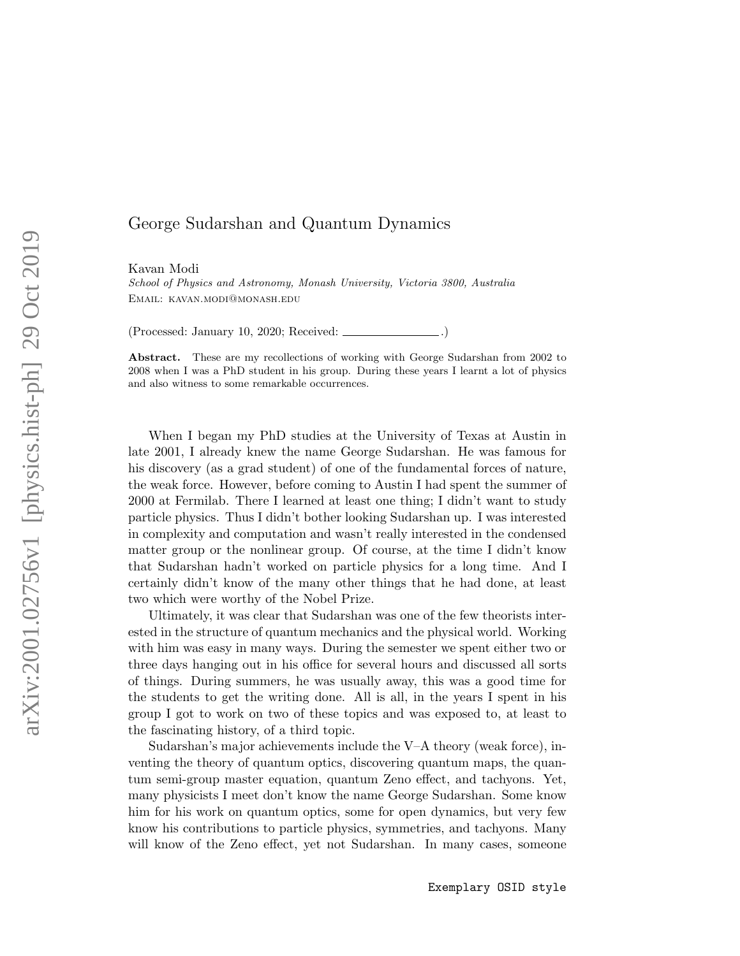# George Sudarshan and Quantum Dynamics

Kavan Modi

School of Physics and Astronomy, Monash University, Victoria 3800, Australia Email: kavan.modi@monash.edu

(Processed: January 10, 2020; Received: .)

Abstract. These are my recollections of working with George Sudarshan from 2002 to 2008 when I was a PhD student in his group. During these years I learnt a lot of physics and also witness to some remarkable occurrences.

When I began my PhD studies at the University of Texas at Austin in late 2001, I already knew the name George Sudarshan. He was famous for his discovery (as a grad student) of one of the fundamental forces of nature, the weak force. However, before coming to Austin I had spent the summer of 2000 at Fermilab. There I learned at least one thing; I didn't want to study particle physics. Thus I didn't bother looking Sudarshan up. I was interested in complexity and computation and wasn't really interested in the condensed matter group or the nonlinear group. Of course, at the time I didn't know that Sudarshan hadn't worked on particle physics for a long time. And I certainly didn't know of the many other things that he had done, at least two which were worthy of the Nobel Prize.

Ultimately, it was clear that Sudarshan was one of the few theorists interested in the structure of quantum mechanics and the physical world. Working with him was easy in many ways. During the semester we spent either two or three days hanging out in his office for several hours and discussed all sorts of things. During summers, he was usually away, this was a good time for the students to get the writing done. All is all, in the years I spent in his group I got to work on two of these topics and was exposed to, at least to the fascinating history, of a third topic.

Sudarshan's major achievements include the V–A theory (weak force), inventing the theory of quantum optics, discovering quantum maps, the quantum semi-group master equation, quantum Zeno effect, and tachyons. Yet, many physicists I meet don't know the name George Sudarshan. Some know him for his work on quantum optics, some for open dynamics, but very few know his contributions to particle physics, symmetries, and tachyons. Many will know of the Zeno effect, yet not Sudarshan. In many cases, someone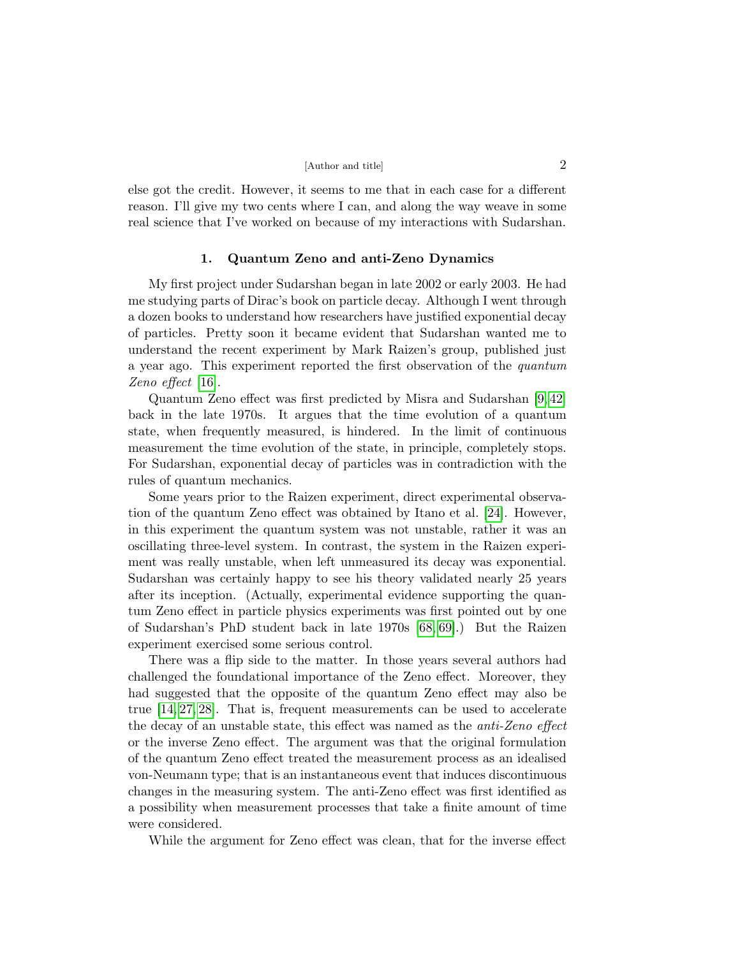else got the credit. However, it seems to me that in each case for a different reason. I'll give my two cents where I can, and along the way weave in some real science that I've worked on because of my interactions with Sudarshan.

# 1. Quantum Zeno and anti-Zeno Dynamics

My first project under Sudarshan began in late 2002 or early 2003. He had me studying parts of Dirac's book on particle decay. Although I went through a dozen books to understand how researchers have justified exponential decay of particles. Pretty soon it became evident that Sudarshan wanted me to understand the recent experiment by Mark Raizen's group, published just a year ago. This experiment reported the first observation of the quantum Zeno effect [\[16\]](#page-17-0).

Quantum Zeno effect was first predicted by Misra and Sudarshan [\[9,](#page-16-0) [42\]](#page-18-0) back in the late 1970s. It argues that the time evolution of a quantum state, when frequently measured, is hindered. In the limit of continuous measurement the time evolution of the state, in principle, completely stops. For Sudarshan, exponential decay of particles was in contradiction with the rules of quantum mechanics.

Some years prior to the Raizen experiment, direct experimental observation of the quantum Zeno effect was obtained by Itano et al. [\[24\]](#page-17-1). However, in this experiment the quantum system was not unstable, rather it was an oscillating three-level system. In contrast, the system in the Raizen experiment was really unstable, when left unmeasured its decay was exponential. Sudarshan was certainly happy to see his theory validated nearly 25 years after its inception. (Actually, experimental evidence supporting the quantum Zeno effect in particle physics experiments was first pointed out by one of Sudarshan's PhD student back in late 1970s [\[68,](#page-19-0) [69\]](#page-19-1).) But the Raizen experiment exercised some serious control.

There was a flip side to the matter. In those years several authors had challenged the foundational importance of the Zeno effect. Moreover, they had suggested that the opposite of the quantum Zeno effect may also be true [\[14,](#page-17-2) [27,](#page-17-3) [28\]](#page-17-4). That is, frequent measurements can be used to accelerate the decay of an unstable state, this effect was named as the anti-Zeno effect or the inverse Zeno effect. The argument was that the original formulation of the quantum Zeno effect treated the measurement process as an idealised von-Neumann type; that is an instantaneous event that induces discontinuous changes in the measuring system. The anti-Zeno effect was first identified as a possibility when measurement processes that take a finite amount of time were considered.

While the argument for Zeno effect was clean, that for the inverse effect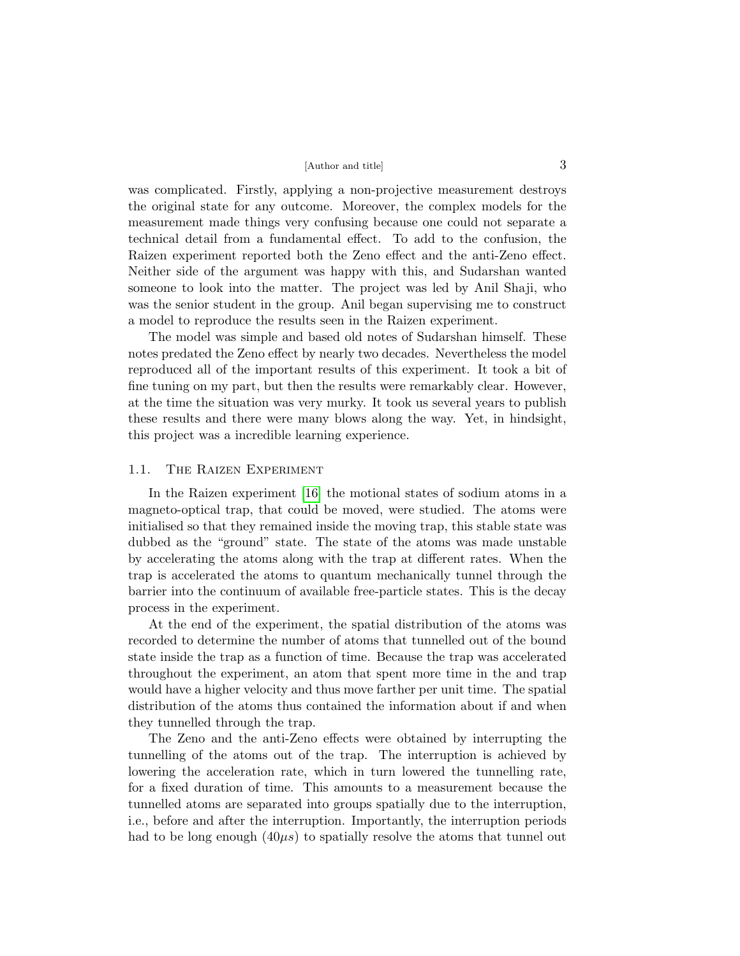was complicated. Firstly, applying a non-projective measurement destroys the original state for any outcome. Moreover, the complex models for the measurement made things very confusing because one could not separate a technical detail from a fundamental effect. To add to the confusion, the Raizen experiment reported both the Zeno effect and the anti-Zeno effect. Neither side of the argument was happy with this, and Sudarshan wanted someone to look into the matter. The project was led by Anil Shaji, who was the senior student in the group. Anil began supervising me to construct a model to reproduce the results seen in the Raizen experiment.

The model was simple and based old notes of Sudarshan himself. These notes predated the Zeno effect by nearly two decades. Nevertheless the model reproduced all of the important results of this experiment. It took a bit of fine tuning on my part, but then the results were remarkably clear. However, at the time the situation was very murky. It took us several years to publish these results and there were many blows along the way. Yet, in hindsight, this project was a incredible learning experience.

# 1.1. The Raizen Experiment

In the Raizen experiment [\[16\]](#page-17-0) the motional states of sodium atoms in a magneto-optical trap, that could be moved, were studied. The atoms were initialised so that they remained inside the moving trap, this stable state was dubbed as the "ground" state. The state of the atoms was made unstable by accelerating the atoms along with the trap at different rates. When the trap is accelerated the atoms to quantum mechanically tunnel through the barrier into the continuum of available free-particle states. This is the decay process in the experiment.

At the end of the experiment, the spatial distribution of the atoms was recorded to determine the number of atoms that tunnelled out of the bound state inside the trap as a function of time. Because the trap was accelerated throughout the experiment, an atom that spent more time in the and trap would have a higher velocity and thus move farther per unit time. The spatial distribution of the atoms thus contained the information about if and when they tunnelled through the trap.

The Zeno and the anti-Zeno effects were obtained by interrupting the tunnelling of the atoms out of the trap. The interruption is achieved by lowering the acceleration rate, which in turn lowered the tunnelling rate, for a fixed duration of time. This amounts to a measurement because the tunnelled atoms are separated into groups spatially due to the interruption, i.e., before and after the interruption. Importantly, the interruption periods had to be long enough  $(40\mu s)$  to spatially resolve the atoms that tunnel out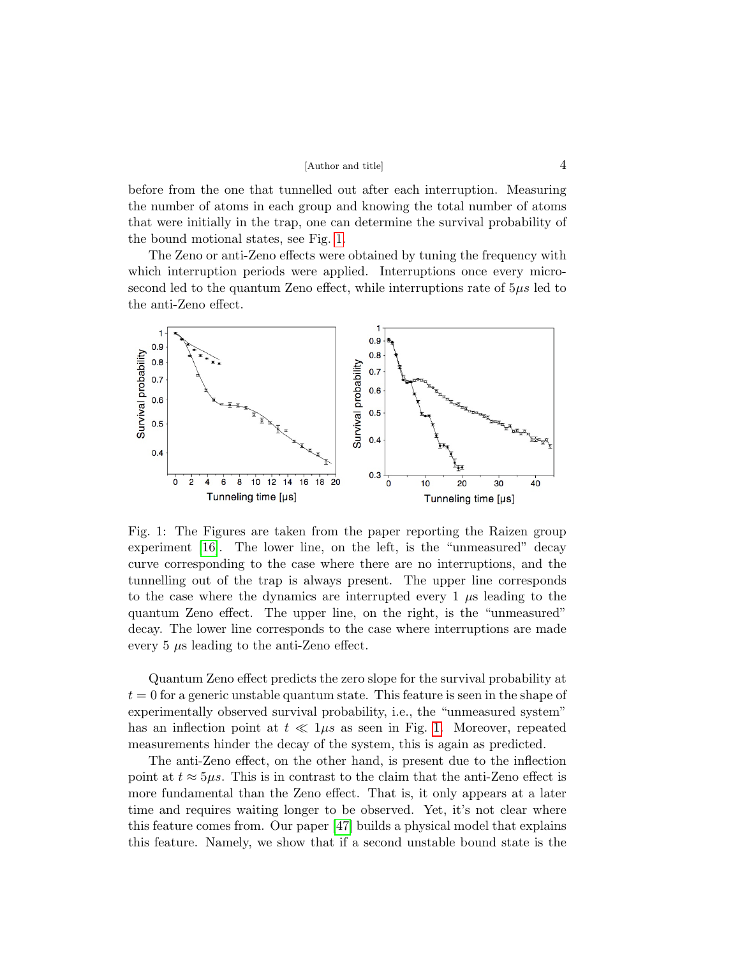before from the one that tunnelled out after each interruption. Measuring the number of atoms in each group and knowing the total number of atoms that were initially in the trap, one can determine the survival probability of the bound motional states, see Fig. [1.](#page-3-0)

The Zeno or anti-Zeno effects were obtained by tuning the frequency with which interruption periods were applied. Interruptions once every microsecond led to the quantum Zeno effect, while interruptions rate of  $5\mu s$  led to the anti-Zeno effect.



<span id="page-3-0"></span>Fig. 1: The Figures are taken from the paper reporting the Raizen group experiment [\[16\]](#page-17-0). The lower line, on the left, is the "unmeasured" decay curve corresponding to the case where there are no interruptions, and the tunnelling out of the trap is always present. The upper line corresponds to the case where the dynamics are interrupted every  $1 \mu s$  leading to the quantum Zeno effect. The upper line, on the right, is the "unmeasured" decay. The lower line corresponds to the case where interruptions are made every  $5 \mu s$  leading to the anti-Zeno effect.

Quantum Zeno effect predicts the zero slope for the survival probability at  $t = 0$  for a generic unstable quantum state. This feature is seen in the shape of experimentally observed survival probability, i.e., the "unmeasured system" has an inflection point at  $t \ll 1\mu s$  as seen in Fig. [1.](#page-3-0) Moreover, repeated measurements hinder the decay of the system, this is again as predicted.

The anti-Zeno effect, on the other hand, is present due to the inflection point at  $t \approx 5\mu s$ . This is in contrast to the claim that the anti-Zeno effect is more fundamental than the Zeno effect. That is, it only appears at a later time and requires waiting longer to be observed. Yet, it's not clear where this feature comes from. Our paper [\[47\]](#page-18-1) builds a physical model that explains this feature. Namely, we show that if a second unstable bound state is the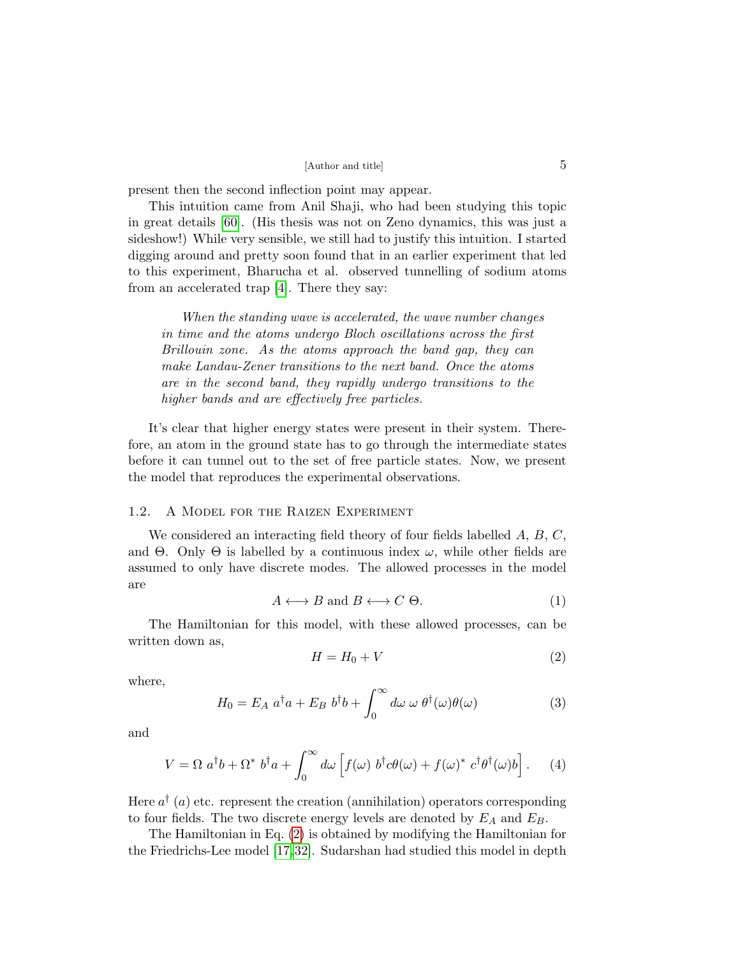present then the second inflection point may appear.

This intuition came from Anil Shaji, who had been studying this topic in great details [\[60\]](#page-19-2). (His thesis was not on Zeno dynamics, this was just a sideshow!) While very sensible, we still had to justify this intuition. I started digging around and pretty soon found that in an earlier experiment that led to this experiment, Bharucha et al. observed tunnelling of sodium atoms from an accelerated trap [\[4\]](#page-16-1). There they say:

When the standing wave is accelerated, the wave number changes in time and the atoms undergo Bloch oscillations across the first Brillouin zone. As the atoms approach the band gap, they can make Landau-Zener transitions to the next band. Once the atoms are in the second band, they rapidly undergo transitions to the higher bands and are effectively free particles.

It's clear that higher energy states were present in their system. Therefore, an atom in the ground state has to go through the intermediate states before it can tunnel out to the set of free particle states. Now, we present the model that reproduces the experimental observations.

### 1.2. A Model for the Raizen Experiment

We considered an interacting field theory of four fields labelled A, B, C, and  $\Theta$ . Only  $\Theta$  is labelled by a continuous index  $\omega$ , while other fields are assumed to only have discrete modes. The allowed processes in the model are

$$
A \longleftrightarrow B \text{ and } B \longleftrightarrow C \Theta. \tag{1}
$$

The Hamiltonian for this model, with these allowed processes, can be written down as,

<span id="page-4-0"></span>
$$
H = H_0 + V \tag{2}
$$

where,

$$
H_0 = E_A a^{\dagger} a + E_B b^{\dagger} b + \int_0^{\infty} d\omega \, \omega \, \theta^{\dagger}(\omega) \theta(\omega) \tag{3}
$$

and

$$
V = \Omega \ a^{\dagger} b + \Omega^* \ b^{\dagger} a + \int_0^{\infty} d\omega \left[ f(\omega) \ b^{\dagger} c \theta(\omega) + f(\omega)^* \ c^{\dagger} \theta^{\dagger}(\omega) b \right]. \tag{4}
$$

Here  $a^{\dagger}$  (a) etc. represent the creation (annihilation) operators corresponding to four fields. The two discrete energy levels are denoted by  $E_A$  and  $E_B$ .

The Hamiltonian in Eq. [\(2\)](#page-4-0) is obtained by modifying the Hamiltonian for the Friedrichs-Lee model [\[17,](#page-17-5)[32\]](#page-18-2). Sudarshan had studied this model in depth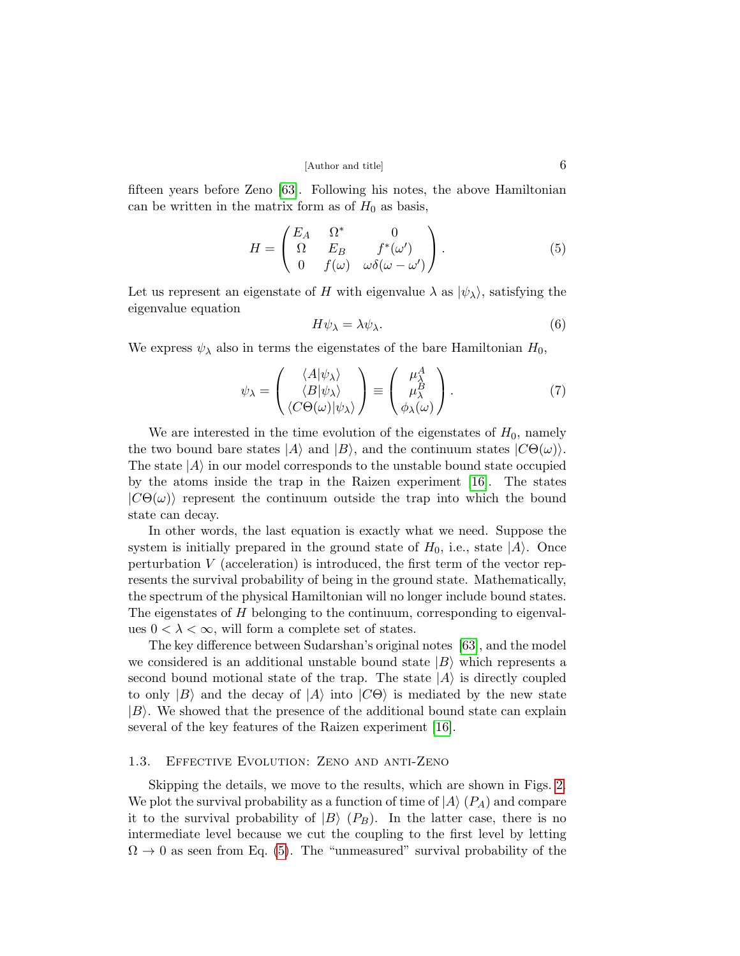fifteen years before Zeno [\[63\]](#page-19-3). Following his notes, the above Hamiltonian can be written in the matrix form as of  $H_0$  as basis,

<span id="page-5-0"></span>
$$
H = \begin{pmatrix} E_A & \Omega^* & 0 \\ \Omega & E_B & f^*(\omega') \\ 0 & f(\omega) & \omega \delta(\omega - \omega') \end{pmatrix} . \tag{5}
$$

Let us represent an eigenstate of H with eigenvalue  $\lambda$  as  $|\psi_{\lambda}\rangle$ , satisfying the eigenvalue equation

$$
H\psi_{\lambda} = \lambda \psi_{\lambda}.\tag{6}
$$

We express  $\psi_{\lambda}$  also in terms the eigenstates of the bare Hamiltonian  $H_0$ ,

$$
\psi_{\lambda} = \begin{pmatrix} \langle A | \psi_{\lambda} \rangle \\ \langle B | \psi_{\lambda} \rangle \\ \langle C \Theta(\omega) | \psi_{\lambda} \rangle \end{pmatrix} \equiv \begin{pmatrix} \mu_{\lambda}^{A} \\ \mu_{\lambda}^{B} \\ \phi_{\lambda}(\omega) \end{pmatrix} . \tag{7}
$$

We are interested in the time evolution of the eigenstates of  $H_0$ , namely the two bound bare states  $|A\rangle$  and  $|B\rangle$ , and the continuum states  $|C\Theta(\omega)\rangle$ . The state  $|A\rangle$  in our model corresponds to the unstable bound state occupied by the atoms inside the trap in the Raizen experiment [\[16\]](#page-17-0). The states  $|C\Theta(\omega)\rangle$  represent the continuum outside the trap into which the bound state can decay.

In other words, the last equation is exactly what we need. Suppose the system is initially prepared in the ground state of  $H_0$ , i.e., state  $|A\rangle$ . Once perturbation  $V$  (acceleration) is introduced, the first term of the vector represents the survival probability of being in the ground state. Mathematically, the spectrum of the physical Hamiltonian will no longer include bound states. The eigenstates of H belonging to the continuum, corresponding to eigenvalues  $0 < \lambda < \infty$ , will form a complete set of states.

The key difference between Sudarshan's original notes [\[63\]](#page-19-3), and the model we considered is an additional unstable bound state  $|B\rangle$  which represents a second bound motional state of the trap. The state  $|A\rangle$  is directly coupled to only  $|B\rangle$  and the decay of  $|A\rangle$  into  $|C\Theta\rangle$  is mediated by the new state  $|B\rangle$ . We showed that the presence of the additional bound state can explain several of the key features of the Raizen experiment [\[16\]](#page-17-0).

#### 1.3. Effective Evolution: Zeno and anti-Zeno

Skipping the details, we move to the results, which are shown in Figs. [2.](#page-6-0) We plot the survival probability as a function of time of  $|A\rangle$  ( $P_A$ ) and compare it to the survival probability of  $|B\rangle$  (P<sub>B</sub>). In the latter case, there is no intermediate level because we cut the coupling to the first level by letting  $\Omega \to 0$  as seen from Eq. [\(5\)](#page-5-0). The "unmeasured" survival probability of the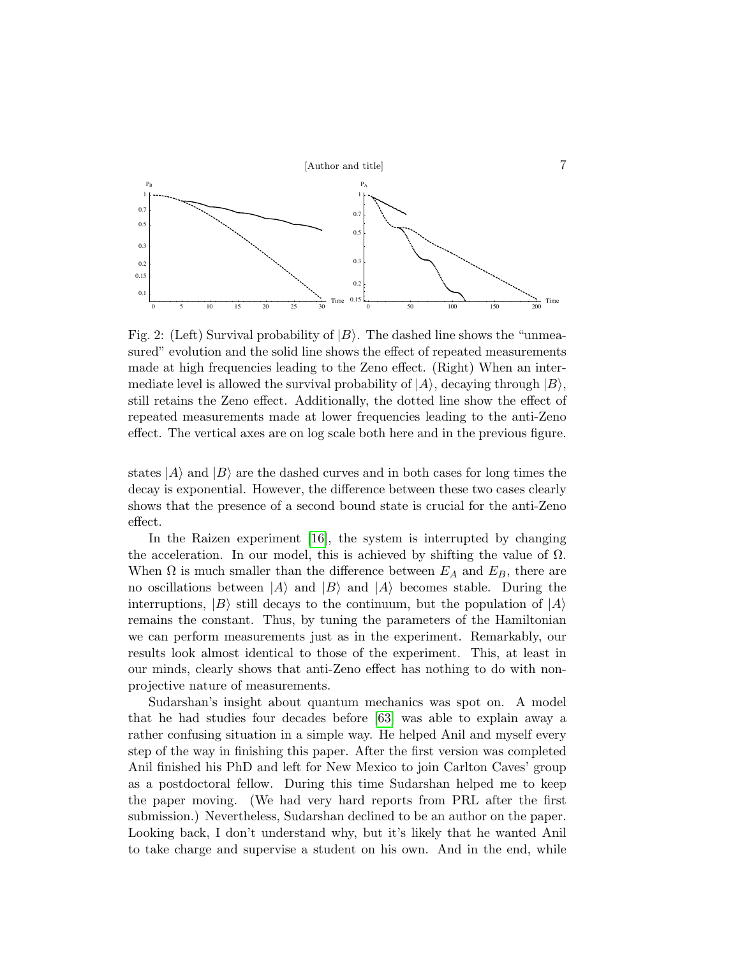

<span id="page-6-0"></span>Fig. 2: (Left) Survival probability of  $|B\rangle$ . The dashed line shows the "unmeasured" evolution and the solid line shows the effect of repeated measurements made at high frequencies leading to the Zeno effect. (Right) When an intermediate level is allowed the survival probability of  $|A\rangle$ , decaying through  $|B\rangle$ , still retains the Zeno effect. Additionally, the dotted line show the effect of repeated measurements made at lower frequencies leading to the anti-Zeno effect. The vertical axes are on log scale both here and in the previous figure.

states  $|A\rangle$  and  $|B\rangle$  are the dashed curves and in both cases for long times the decay is exponential. However, the difference between these two cases clearly shows that the presence of a second bound state is crucial for the anti-Zeno effect.

In the Raizen experiment [\[16\]](#page-17-0), the system is interrupted by changing the acceleration. In our model, this is achieved by shifting the value of  $\Omega$ . When  $\Omega$  is much smaller than the difference between  $E_A$  and  $E_B$ , there are no oscillations between  $|A\rangle$  and  $|B\rangle$  and  $|A\rangle$  becomes stable. During the interruptions,  $|B\rangle$  still decays to the continuum, but the population of  $|A\rangle$ remains the constant. Thus, by tuning the parameters of the Hamiltonian we can perform measurements just as in the experiment. Remarkably, our results look almost identical to those of the experiment. This, at least in our minds, clearly shows that anti-Zeno effect has nothing to do with nonprojective nature of measurements.

Sudarshan's insight about quantum mechanics was spot on. A model that he had studies four decades before [\[63\]](#page-19-3) was able to explain away a rather confusing situation in a simple way. He helped Anil and myself every step of the way in finishing this paper. After the first version was completed Anil finished his PhD and left for New Mexico to join Carlton Caves' group as a postdoctoral fellow. During this time Sudarshan helped me to keep the paper moving. (We had very hard reports from PRL after the first submission.) Nevertheless, Sudarshan declined to be an author on the paper. Looking back, I don't understand why, but it's likely that he wanted Anil to take charge and supervise a student on his own. And in the end, while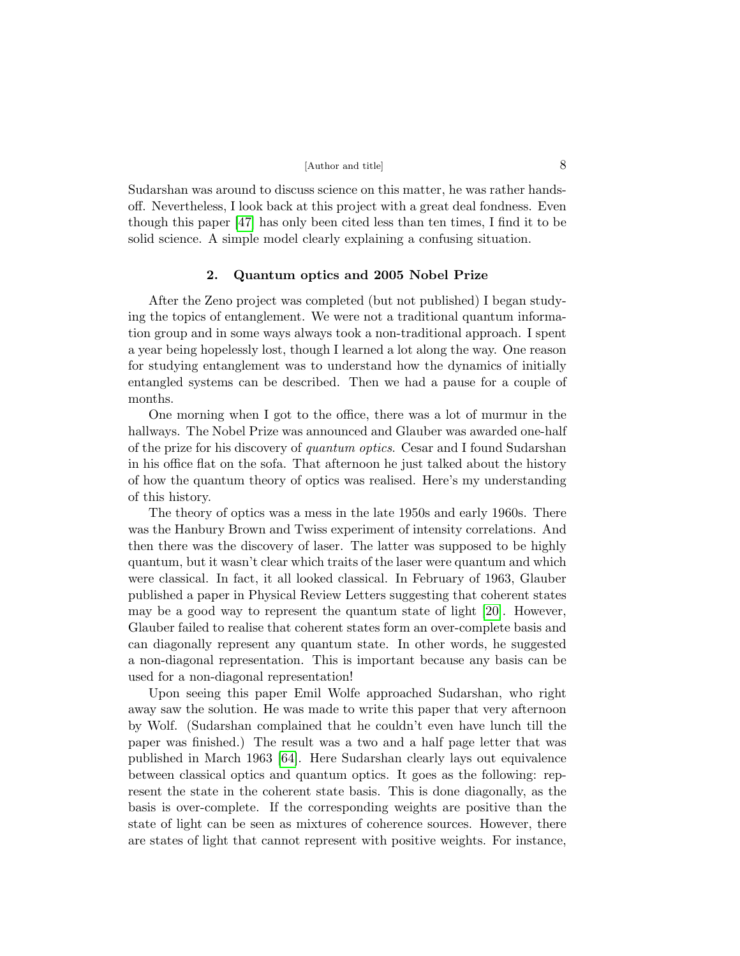Sudarshan was around to discuss science on this matter, he was rather handsoff. Nevertheless, I look back at this project with a great deal fondness. Even though this paper [\[47\]](#page-18-1) has only been cited less than ten times, I find it to be solid science. A simple model clearly explaining a confusing situation.

### 2. Quantum optics and 2005 Nobel Prize

After the Zeno project was completed (but not published) I began studying the topics of entanglement. We were not a traditional quantum information group and in some ways always took a non-traditional approach. I spent a year being hopelessly lost, though I learned a lot along the way. One reason for studying entanglement was to understand how the dynamics of initially entangled systems can be described. Then we had a pause for a couple of months.

One morning when I got to the office, there was a lot of murmur in the hallways. The Nobel Prize was announced and Glauber was awarded one-half of the prize for his discovery of quantum optics. Cesar and I found Sudarshan in his office flat on the sofa. That afternoon he just talked about the history of how the quantum theory of optics was realised. Here's my understanding of this history.

The theory of optics was a mess in the late 1950s and early 1960s. There was the Hanbury Brown and Twiss experiment of intensity correlations. And then there was the discovery of laser. The latter was supposed to be highly quantum, but it wasn't clear which traits of the laser were quantum and which were classical. In fact, it all looked classical. In February of 1963, Glauber published a paper in Physical Review Letters suggesting that coherent states may be a good way to represent the quantum state of light [\[20\]](#page-17-6). However, Glauber failed to realise that coherent states form an over-complete basis and can diagonally represent any quantum state. In other words, he suggested a non-diagonal representation. This is important because any basis can be used for a non-diagonal representation!

Upon seeing this paper Emil Wolfe approached Sudarshan, who right away saw the solution. He was made to write this paper that very afternoon by Wolf. (Sudarshan complained that he couldn't even have lunch till the paper was finished.) The result was a two and a half page letter that was published in March 1963 [\[64\]](#page-19-4). Here Sudarshan clearly lays out equivalence between classical optics and quantum optics. It goes as the following: represent the state in the coherent state basis. This is done diagonally, as the basis is over-complete. If the corresponding weights are positive than the state of light can be seen as mixtures of coherence sources. However, there are states of light that cannot represent with positive weights. For instance,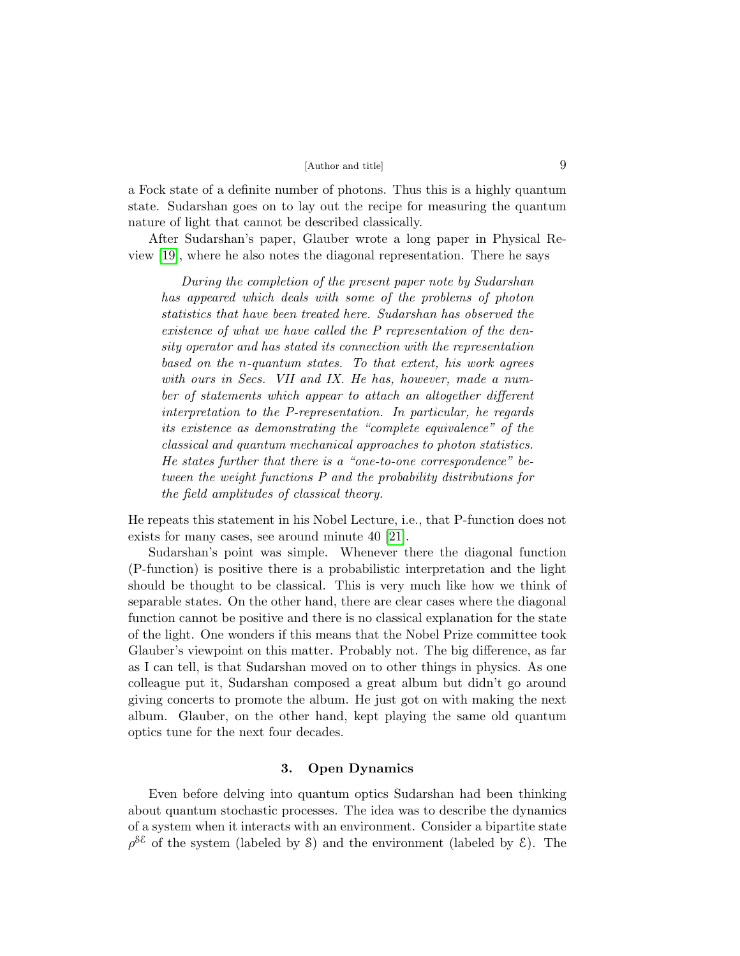| [Author and title] |  |
|--------------------|--|
|--------------------|--|

a Fock state of a definite number of photons. Thus this is a highly quantum state. Sudarshan goes on to lay out the recipe for measuring the quantum nature of light that cannot be described classically.

After Sudarshan's paper, Glauber wrote a long paper in Physical Review [\[19\]](#page-17-7), where he also notes the diagonal representation. There he says

During the completion of the present paper note by Sudarshan has appeared which deals with some of the problems of photon statistics that have been treated here. Sudarshan has observed the existence of what we have called the P representation of the density operator and has stated its connection with the representation based on the n-quantum states. To that extent, his work agrees with ours in Secs. VII and IX. He has, however, made a number of statements which appear to attach an altogether different interpretation to the P-representation. In particular, he regards its existence as demonstrating the "complete equivalence" of the classical and quantum mechanical approaches to photon statistics. He states further that there is a "one-to-one correspondence" between the weight functions P and the probability distributions for the field amplitudes of classical theory.

He repeats this statement in his Nobel Lecture, i.e., that P-function does not exists for many cases, see around minute 40 [\[21\]](#page-17-8).

Sudarshan's point was simple. Whenever there the diagonal function (P-function) is positive there is a probabilistic interpretation and the light should be thought to be classical. This is very much like how we think of separable states. On the other hand, there are clear cases where the diagonal function cannot be positive and there is no classical explanation for the state of the light. One wonders if this means that the Nobel Prize committee took Glauber's viewpoint on this matter. Probably not. The big difference, as far as I can tell, is that Sudarshan moved on to other things in physics. As one colleague put it, Sudarshan composed a great album but didn't go around giving concerts to promote the album. He just got on with making the next album. Glauber, on the other hand, kept playing the same old quantum optics tune for the next four decades.

# 3. Open Dynamics

Even before delving into quantum optics Sudarshan had been thinking about quantum stochastic processes. The idea was to describe the dynamics of a system when it interacts with an environment. Consider a bipartite state  $\rho^{\delta \mathcal{E}}$  of the system (labeled by S) and the environment (labeled by  $\mathcal{E}$ ). The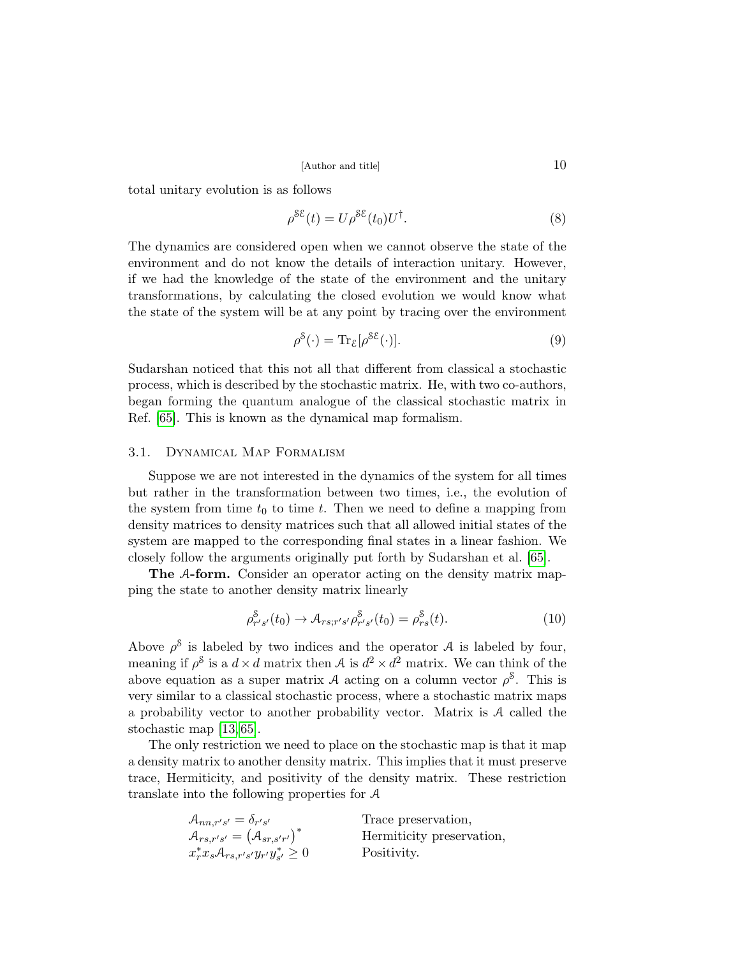total unitary evolution is as follows

$$
\rho^{\mathcal{SE}}(t) = U\rho^{\mathcal{SE}}(t_0)U^{\dagger}.
$$
\n(8)

The dynamics are considered open when we cannot observe the state of the environment and do not know the details of interaction unitary. However, if we had the knowledge of the state of the environment and the unitary transformations, by calculating the closed evolution we would know what the state of the system will be at any point by tracing over the environment

$$
\rho^{\mathcal{S}}(\cdot) = \text{Tr}_{\mathcal{E}}[\rho^{\mathcal{S}\mathcal{E}}(\cdot)].\tag{9}
$$

Sudarshan noticed that this not all that different from classical a stochastic process, which is described by the stochastic matrix. He, with two co-authors, began forming the quantum analogue of the classical stochastic matrix in Ref. [\[65\]](#page-19-5). This is known as the dynamical map formalism.

# 3.1. Dynamical Map Formalism

Suppose we are not interested in the dynamics of the system for all times but rather in the transformation between two times, i.e., the evolution of the system from time  $t_0$  to time  $t$ . Then we need to define a mapping from density matrices to density matrices such that all allowed initial states of the system are mapped to the corresponding final states in a linear fashion. We closely follow the arguments originally put forth by Sudarshan et al. [\[65\]](#page-19-5).

The A-form. Consider an operator acting on the density matrix mapping the state to another density matrix linearly

$$
\rho_{r's'}^{\mathcal{S}}(t_0) \to \mathcal{A}_{rs;r's'} \rho_{r's'}^{\mathcal{S}}(t_0) = \rho_{rs}^{\mathcal{S}}(t). \tag{10}
$$

Above  $\rho^{\delta}$  is labeled by two indices and the operator A is labeled by four, meaning if  $\rho^{\delta}$  is a  $d \times d$  matrix then A is  $d^2 \times d^2$  matrix. We can think of the above equation as a super matrix A acting on a column vector  $\rho^{\$}$ . This is very similar to a classical stochastic process, where a stochastic matrix maps a probability vector to another probability vector. Matrix is A called the stochastic map [\[13,](#page-17-9) [65\]](#page-19-5).

The only restriction we need to place on the stochastic map is that it map a density matrix to another density matrix. This implies that it must preserve trace, Hermiticity, and positivity of the density matrix. These restriction translate into the following properties for A

| $\mathcal{A}_{nn,r's'}=\delta_{r's'}$                                                      | Trace preservation,       |
|--------------------------------------------------------------------------------------------|---------------------------|
| $\mathcal{A}_{rs,r^\prime s^\prime} = \left( \mathcal{A}_{sr,s^\prime r^\prime} \right)^*$ | Hermiticity preservation, |
| $x_r^* x_s \mathcal{A}_{rs,r's'} y_{r'} y_{s'}^* \geq 0$                                   | Positivity.               |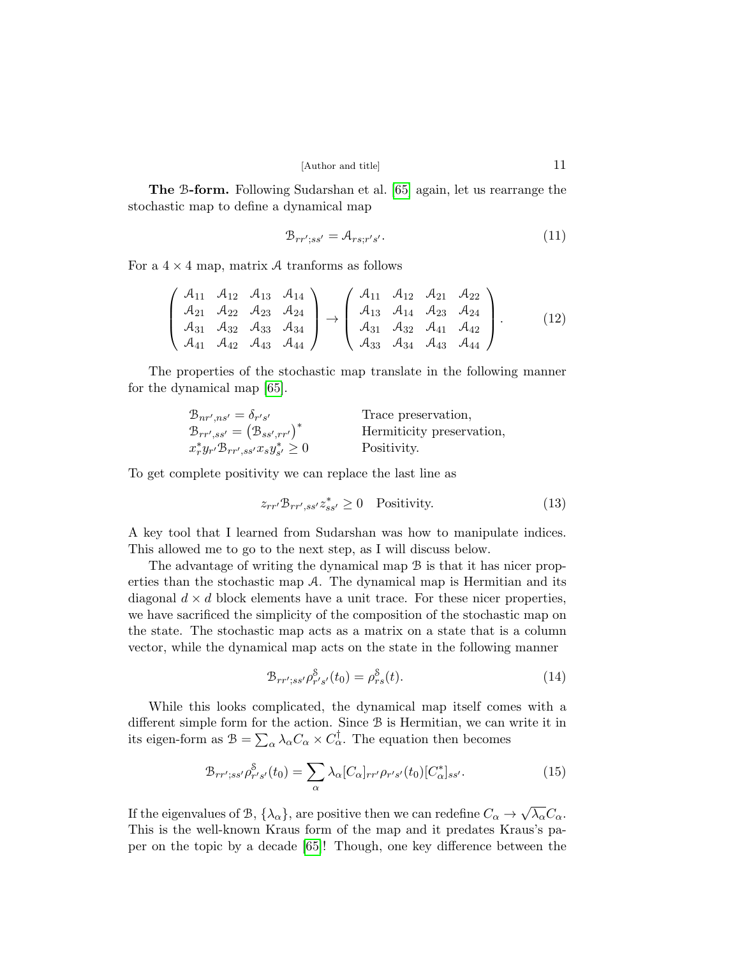$$
[{\it Author\ and\ title}] \qquad \qquad 11
$$

The B-form. Following Sudarshan et al. [\[65\]](#page-19-5) again, let us rearrange the stochastic map to define a dynamical map

$$
\mathcal{B}_{rr';ss'} = \mathcal{A}_{rs;r's'}.\tag{11}
$$

For a  $4 \times 4$  map, matrix A tranforms as follows

$$
\begin{pmatrix}\nA_{11} & A_{12} & A_{13} & A_{14} \\
A_{21} & A_{22} & A_{23} & A_{24} \\
A_{31} & A_{32} & A_{33} & A_{34} \\
A_{41} & A_{42} & A_{43} & A_{44}\n\end{pmatrix}\n\rightarrow\n\begin{pmatrix}\nA_{11} & A_{12} & A_{21} & A_{22} \\
A_{13} & A_{14} & A_{23} & A_{24} \\
A_{31} & A_{32} & A_{41} & A_{42} \\
A_{33} & A_{34} & A_{43} & A_{44}\n\end{pmatrix}.
$$
\n(12)

The properties of the stochastic map translate in the following manner for the dynamical map [\[65\]](#page-19-5).

| $\mathcal{B}_{nr',ns'} = \delta_{r's'}$                  | Trace preservation,       |
|----------------------------------------------------------|---------------------------|
| $\mathcal{B}_{rr',ss'} = (\mathcal{B}_{ss',rr'})^*$      | Hermiticity preservation, |
| $x_r^* y_{r'} \mathcal{B}_{rr',ss'} x_s y_{s'}^* \geq 0$ | Positivity.               |

To get complete positivity we can replace the last line as

$$
z_{rr'}\mathcal{B}_{rr',ss'}z_{ss'}^* \ge 0 \quad \text{Positivity.} \tag{13}
$$

A key tool that I learned from Sudarshan was how to manipulate indices. This allowed me to go to the next step, as I will discuss below.

The advantage of writing the dynamical map  $\mathcal B$  is that it has nicer properties than the stochastic map  $A$ . The dynamical map is Hermitian and its diagonal  $d \times d$  block elements have a unit trace. For these nicer properties, we have sacrificed the simplicity of the composition of the stochastic map on the state. The stochastic map acts as a matrix on a state that is a column vector, while the dynamical map acts on the state in the following manner

$$
\mathcal{B}_{rr';ss'}\rho_{r's'}^{\mathcal{S}}(t_0) = \rho_{rs}^{\mathcal{S}}(t). \tag{14}
$$

While this looks complicated, the dynamical map itself comes with a different simple form for the action. Since B is Hermitian, we can write it in its eigen-form as  $B = \sum_{\alpha} \lambda_{\alpha} C_{\alpha} \times C_{\alpha}^{\dagger}$ . The equation then becomes

$$
\mathcal{B}_{rr';ss'}\rho_{r's'}^{\mathcal{S}}(t_0) = \sum_{\alpha} \lambda_{\alpha} [C_{\alpha}]_{rr'} \rho_{r's'}(t_0) [C_{\alpha}^*]_{ss'}.
$$
\n(15)

If the eigenvalues of B,  $\{\lambda_{\alpha}\}\$ , are positive then we can redefine  $C_{\alpha} \rightarrow$ √  $\lambda_\alpha C_\alpha.$ This is the well-known Kraus form of the map and it predates Kraus's paper on the topic by a decade [\[65\]](#page-19-5)! Though, one key difference between the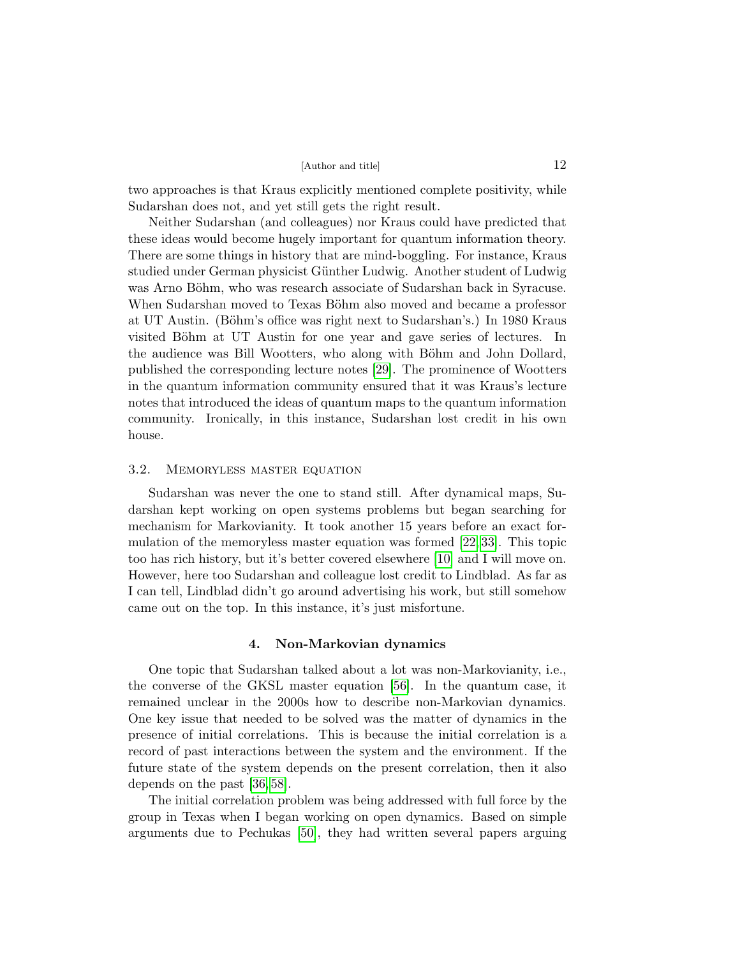two approaches is that Kraus explicitly mentioned complete positivity, while Sudarshan does not, and yet still gets the right result.

Neither Sudarshan (and colleagues) nor Kraus could have predicted that these ideas would become hugely important for quantum information theory. There are some things in history that are mind-boggling. For instance, Kraus studied under German physicist Günther Ludwig. Another student of Ludwig was Arno Böhm, who was research associate of Sudarshan back in Syracuse. When Sudarshan moved to Texas Böhm also moved and became a professor at UT Austin. (Böhm's office was right next to Sudarshan's.) In 1980 Kraus visited Böhm at UT Austin for one year and gave series of lectures. In the audience was Bill Wootters, who along with Böhm and John Dollard, published the corresponding lecture notes [\[29\]](#page-17-10). The prominence of Wootters in the quantum information community ensured that it was Kraus's lecture notes that introduced the ideas of quantum maps to the quantum information community. Ironically, in this instance, Sudarshan lost credit in his own house.

#### 3.2. Memoryless master equation

Sudarshan was never the one to stand still. After dynamical maps, Sudarshan kept working on open systems problems but began searching for mechanism for Markovianity. It took another 15 years before an exact formulation of the memoryless master equation was formed [\[22,](#page-17-11) [33\]](#page-18-3). This topic too has rich history, but it's better covered elsewhere [\[10\]](#page-17-12) and I will move on. However, here too Sudarshan and colleague lost credit to Lindblad. As far as I can tell, Lindblad didn't go around advertising his work, but still somehow came out on the top. In this instance, it's just misfortune.

#### 4. Non-Markovian dynamics

One topic that Sudarshan talked about a lot was non-Markovianity, i.e., the converse of the GKSL master equation [\[56\]](#page-19-6). In the quantum case, it remained unclear in the 2000s how to describe non-Markovian dynamics. One key issue that needed to be solved was the matter of dynamics in the presence of initial correlations. This is because the initial correlation is a record of past interactions between the system and the environment. If the future state of the system depends on the present correlation, then it also depends on the past [\[36,](#page-18-4) [58\]](#page-19-7).

The initial correlation problem was being addressed with full force by the group in Texas when I began working on open dynamics. Based on simple arguments due to Pechukas [\[50\]](#page-18-5), they had written several papers arguing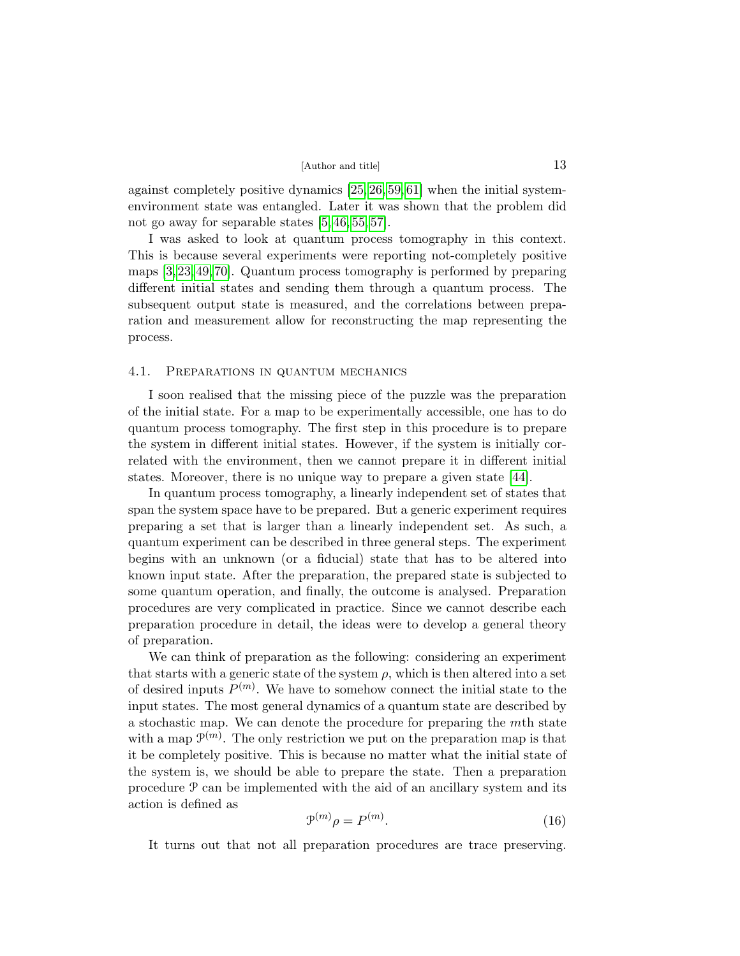against completely positive dynamics [\[25,](#page-17-13) [26,](#page-17-14) [59,](#page-19-8) [61\]](#page-19-9) when the initial systemenvironment state was entangled. Later it was shown that the problem did not go away for separable states [\[5,](#page-16-2) [46,](#page-18-6) [55,](#page-19-10) [57\]](#page-19-11).

I was asked to look at quantum process tomography in this context. This is because several experiments were reporting not-completely positive maps [\[3,](#page-16-3) [23,](#page-17-15) [49,](#page-18-7) [70\]](#page-19-12). Quantum process tomography is performed by preparing different initial states and sending them through a quantum process. The subsequent output state is measured, and the correlations between preparation and measurement allow for reconstructing the map representing the process.

### 4.1. Preparations in quantum mechanics

I soon realised that the missing piece of the puzzle was the preparation of the initial state. For a map to be experimentally accessible, one has to do quantum process tomography. The first step in this procedure is to prepare the system in different initial states. However, if the system is initially correlated with the environment, then we cannot prepare it in different initial states. Moreover, there is no unique way to prepare a given state [\[44\]](#page-18-8).

In quantum process tomography, a linearly independent set of states that span the system space have to be prepared. But a generic experiment requires preparing a set that is larger than a linearly independent set. As such, a quantum experiment can be described in three general steps. The experiment begins with an unknown (or a fiducial) state that has to be altered into known input state. After the preparation, the prepared state is subjected to some quantum operation, and finally, the outcome is analysed. Preparation procedures are very complicated in practice. Since we cannot describe each preparation procedure in detail, the ideas were to develop a general theory of preparation.

We can think of preparation as the following: considering an experiment that starts with a generic state of the system  $\rho$ , which is then altered into a set of desired inputs  $P^{(m)}$ . We have to somehow connect the initial state to the input states. The most general dynamics of a quantum state are described by a stochastic map. We can denote the procedure for preparing the mth state with a map  $\mathcal{P}^{(m)}$ . The only restriction we put on the preparation map is that it be completely positive. This is because no matter what the initial state of the system is, we should be able to prepare the state. Then a preparation procedure P can be implemented with the aid of an ancillary system and its action is defined as

$$
\mathcal{P}^{(m)}\rho = P^{(m)}.\tag{16}
$$

It turns out that not all preparation procedures are trace preserving.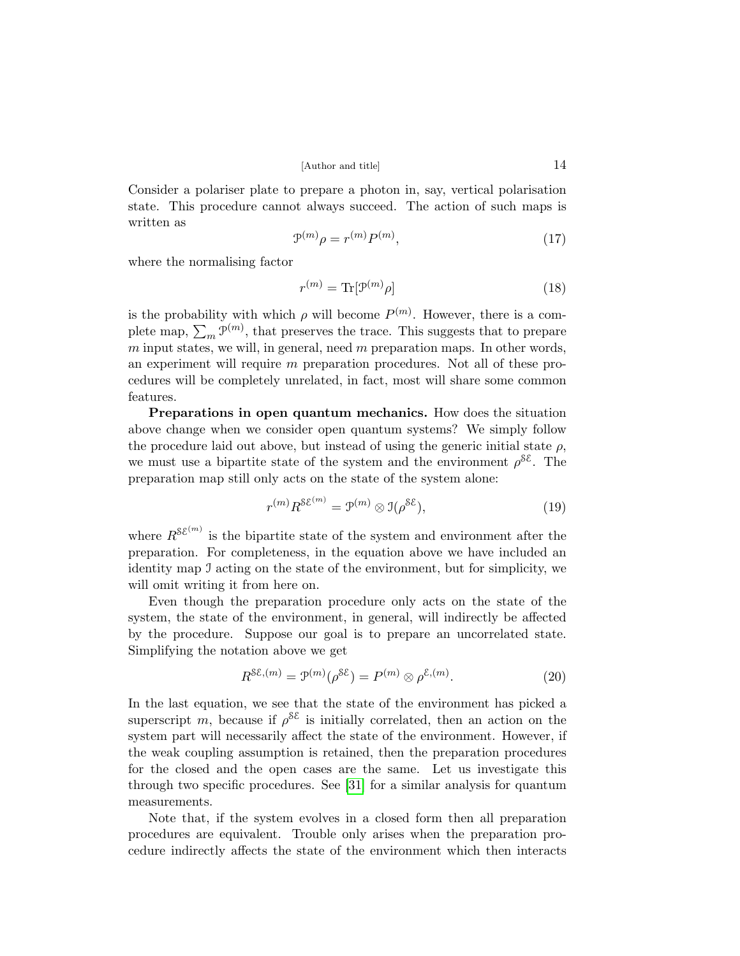$$
[{\it Author\ and\ title}] \qquad \qquad 14
$$

Consider a polariser plate to prepare a photon in, say, vertical polarisation state. This procedure cannot always succeed. The action of such maps is written as

$$
\mathcal{P}^{(m)}\rho = r^{(m)}P^{(m)},\tag{17}
$$

where the normalising factor

$$
r^{(m)} = \text{Tr}[\mathcal{P}^{(m)}\rho] \tag{18}
$$

is the probability with which  $\rho$  will become  $P^{(m)}$ . However, there is a complete map,  $\sum_{m} \mathcal{P}^{(m)}$ , that preserves the trace. This suggests that to prepare  $m$  input states, we will, in general, need  $m$  preparation maps. In other words, an experiment will require m preparation procedures. Not all of these procedures will be completely unrelated, in fact, most will share some common features.

Preparations in open quantum mechanics. How does the situation above change when we consider open quantum systems? We simply follow the procedure laid out above, but instead of using the generic initial state  $\rho$ , we must use a bipartite state of the system and the environment  $\rho^{\delta \mathcal{E}}$ . The preparation map still only acts on the state of the system alone:

$$
r^{(m)}R^{\mathcal{SE}^{(m)}} = \mathcal{P}^{(m)} \otimes \mathcal{I}(\rho^{\mathcal{SE}}),\tag{19}
$$

where  $R^{\mathcal{S} \mathcal{E}^{(m)}}$  is the bipartite state of the system and environment after the preparation. For completeness, in the equation above we have included an identity map I acting on the state of the environment, but for simplicity, we will omit writing it from here on.

Even though the preparation procedure only acts on the state of the system, the state of the environment, in general, will indirectly be affected by the procedure. Suppose our goal is to prepare an uncorrelated state. Simplifying the notation above we get

$$
R^{\mathcal{SE},(m)} = \mathcal{P}^{(m)}(\rho^{\mathcal{SE}}) = P^{(m)} \otimes \rho^{\mathcal{E},(m)}.
$$
 (20)

In the last equation, we see that the state of the environment has picked a superscript m, because if  $\rho^{\delta \mathcal{E}}$  is initially correlated, then an action on the system part will necessarily affect the state of the environment. However, if the weak coupling assumption is retained, then the preparation procedures for the closed and the open cases are the same. Let us investigate this through two specific procedures. See [\[31\]](#page-18-9) for a similar analysis for quantum measurements.

Note that, if the system evolves in a closed form then all preparation procedures are equivalent. Trouble only arises when the preparation procedure indirectly affects the state of the environment which then interacts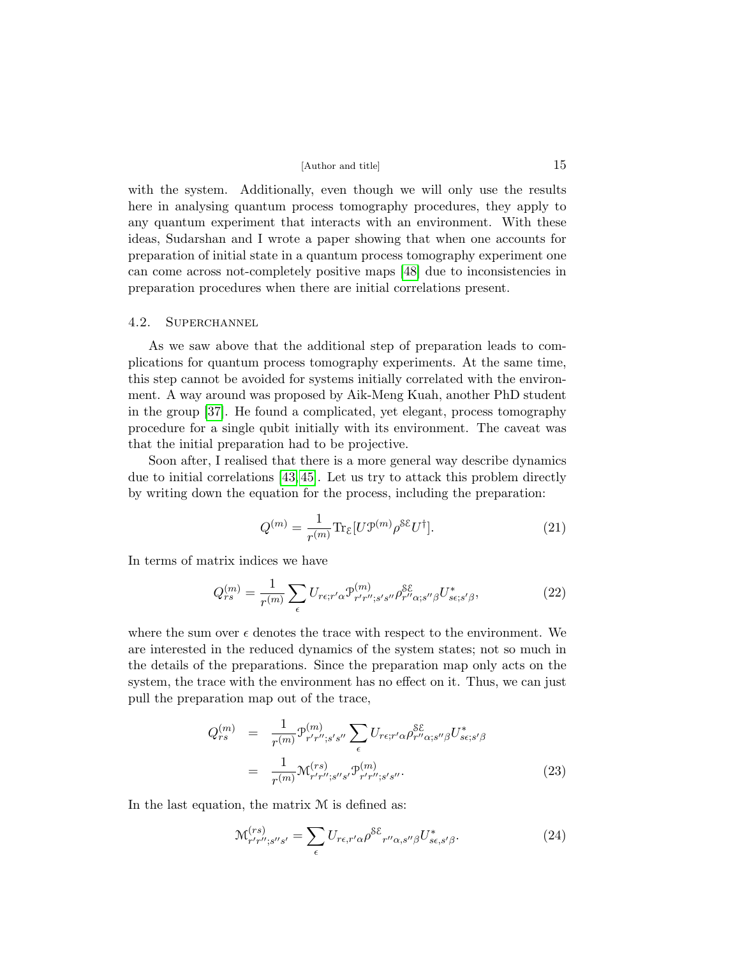with the system. Additionally, even though we will only use the results here in analysing quantum process tomography procedures, they apply to any quantum experiment that interacts with an environment. With these ideas, Sudarshan and I wrote a paper showing that when one accounts for preparation of initial state in a quantum process tomography experiment one can come across not-completely positive maps [\[48\]](#page-18-10) due to inconsistencies in preparation procedures when there are initial correlations present.

#### 4.2. Superchannel

As we saw above that the additional step of preparation leads to complications for quantum process tomography experiments. At the same time, this step cannot be avoided for systems initially correlated with the environment. A way around was proposed by Aik-Meng Kuah, another PhD student in the group [\[37\]](#page-18-11). He found a complicated, yet elegant, process tomography procedure for a single qubit initially with its environment. The caveat was that the initial preparation had to be projective.

Soon after, I realised that there is a more general way describe dynamics due to initial correlations [\[43,](#page-18-12) [45\]](#page-18-13). Let us try to attack this problem directly by writing down the equation for the process, including the preparation:

$$
Q^{(m)} = \frac{1}{r^{(m)}} \text{Tr}_{\mathcal{E}}[U \mathcal{P}^{(m)} \rho^{\mathcal{SE}} U^{\dagger}]. \tag{21}
$$

In terms of matrix indices we have

$$
Q_{rs}^{(m)} = \frac{1}{r^{(m)}} \sum_{\epsilon} U_{r\epsilon;r'\alpha} \mathcal{P}_{r'r'';s's''}^{(m)} \rho_{r''\alpha;s''\beta}^{\mathcal{S}\mathcal{E}} U_{s\epsilon;s'\beta}^*,
$$
 (22)

where the sum over  $\epsilon$  denotes the trace with respect to the environment. We are interested in the reduced dynamics of the system states; not so much in the details of the preparations. Since the preparation map only acts on the system, the trace with the environment has no effect on it. Thus, we can just pull the preparation map out of the trace,

<span id="page-14-0"></span>
$$
Q_{rs}^{(m)} = \frac{1}{r^{(m)}} \mathcal{P}_{r'r'';s's''}^{(m)} \sum_{\epsilon} U_{r\epsilon;r'\alpha} \rho_{r''\alpha;s''\beta}^{\mathcal{S}\mathcal{E}} U_{s\epsilon;s'\beta}
$$

$$
= \frac{1}{r^{(m)}} \mathcal{M}_{r'r'';s''s'}^{(rs)} \mathcal{P}_{r'r'';s's''}^{(m)}.
$$
(23)

In the last equation, the matrix  $M$  is defined as:

$$
\mathcal{M}_{r'r'';s''s'}^{(rs)} = \sum_{\epsilon} U_{r\epsilon,r'\alpha} \rho^{\delta \mathcal{E}}_{r''\alpha,s''\beta} U_{s\epsilon,s'\beta}^*.
$$
\n(24)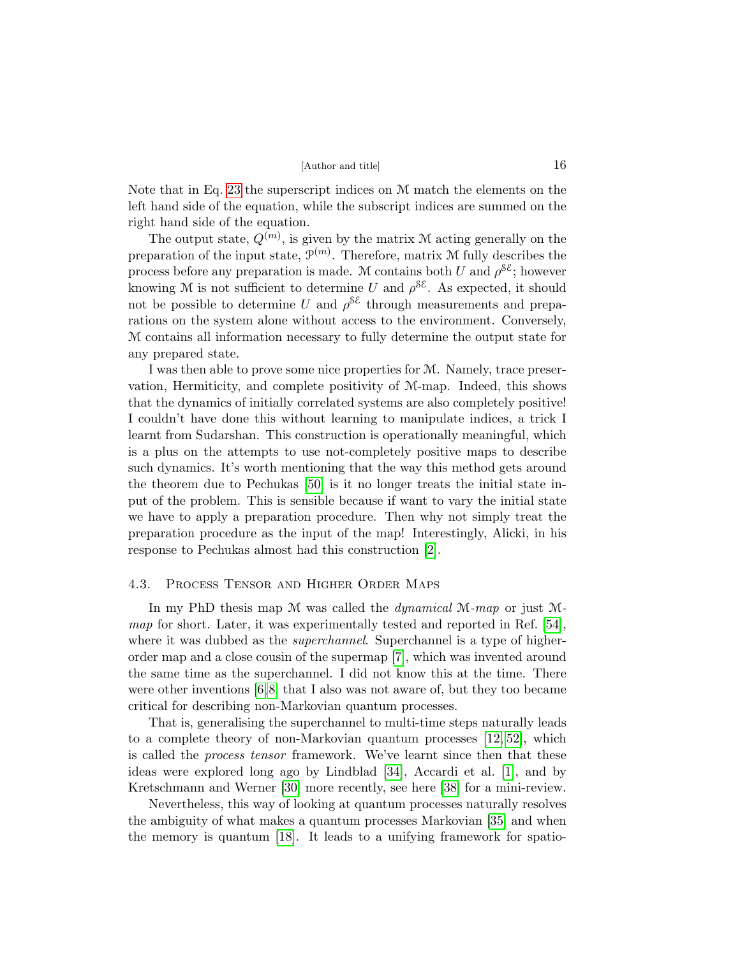Note that in Eq. [23](#page-14-0) the superscript indices on M match the elements on the left hand side of the equation, while the subscript indices are summed on the right hand side of the equation.

The output state,  $Q^{(m)}$ , is given by the matrix M acting generally on the preparation of the input state,  $\mathcal{P}^{(m)}$ . Therefore, matrix M fully describes the process before any preparation is made. M contains both U and  $\rho^{\delta \mathcal{E}}$ ; however knowing M is not sufficient to determine U and  $\rho^{\delta \mathcal{E}}$ . As expected, it should not be possible to determine U and  $\rho^{\delta \mathcal{E}}$  through measurements and preparations on the system alone without access to the environment. Conversely, M contains all information necessary to fully determine the output state for any prepared state.

I was then able to prove some nice properties for M. Namely, trace preservation, Hermiticity, and complete positivity of M-map. Indeed, this shows that the dynamics of initially correlated systems are also completely positive! I couldn't have done this without learning to manipulate indices, a trick I learnt from Sudarshan. This construction is operationally meaningful, which is a plus on the attempts to use not-completely positive maps to describe such dynamics. It's worth mentioning that the way this method gets around the theorem due to Pechukas [\[50\]](#page-18-5) is it no longer treats the initial state input of the problem. This is sensible because if want to vary the initial state we have to apply a preparation procedure. Then why not simply treat the preparation procedure as the input of the map! Interestingly, Alicki, in his response to Pechukas almost had this construction [\[2\]](#page-16-4).

#### 4.3. Process Tensor and Higher Order Maps

In my PhD thesis map M was called the dynamical M-map or just Mmap for short. Later, it was experimentally tested and reported in Ref. [\[54\]](#page-19-13), where it was dubbed as the *superchannel*. Superchannel is a type of higherorder map and a close cousin of the supermap [\[7\]](#page-16-5), which was invented around the same time as the superchannel. I did not know this at the time. There were other inventions [\[6,](#page-16-6)[8\]](#page-16-7) that I also was not aware of, but they too became critical for describing non-Markovian quantum processes.

That is, generalising the superchannel to multi-time steps naturally leads to a complete theory of non-Markovian quantum processes [\[12,](#page-17-16) [52\]](#page-19-14), which is called the process tensor framework. We've learnt since then that these ideas were explored long ago by Lindblad [\[34\]](#page-18-14), Accardi et al. [\[1\]](#page-16-8), and by Kretschmann and Werner [\[30\]](#page-17-17) more recently, see here [\[38\]](#page-18-15) for a mini-review.

Nevertheless, this way of looking at quantum processes naturally resolves the ambiguity of what makes a quantum processes Markovian [\[35\]](#page-18-16) and when the memory is quantum [\[18\]](#page-17-18). It leads to a unifying framework for spatio-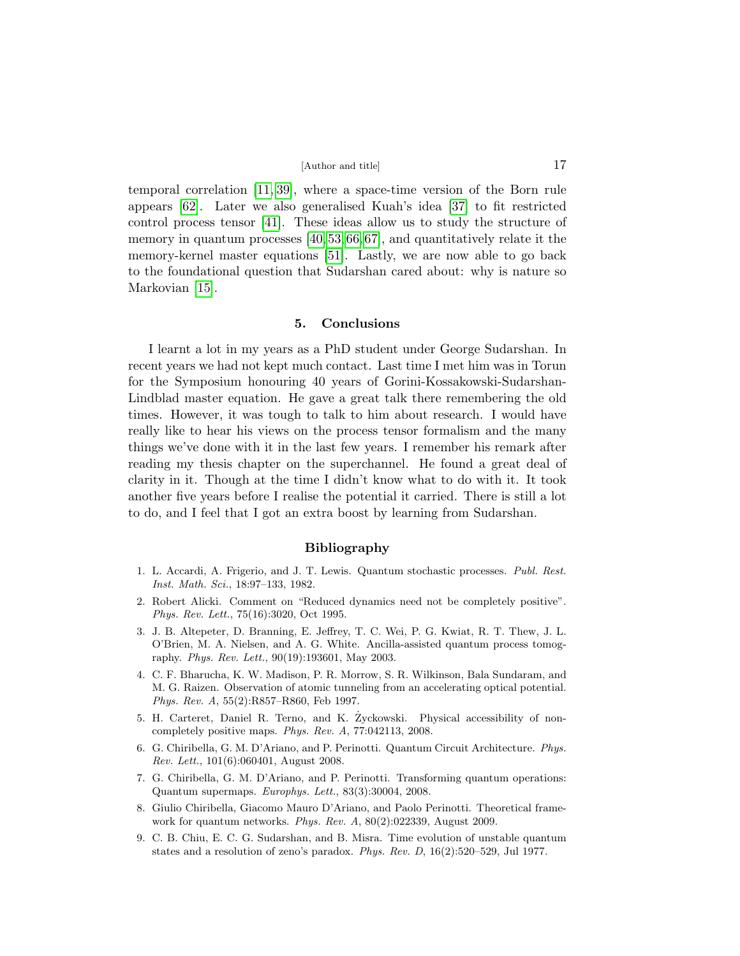temporal correlation [\[11,](#page-17-19) [39\]](#page-18-17), where a space-time version of the Born rule appears [\[62\]](#page-19-15). Later we also generalised Kuah's idea [\[37\]](#page-18-11) to fit restricted control process tensor [\[41\]](#page-18-18). These ideas allow us to study the structure of memory in quantum processes [\[40,](#page-18-19) [53,](#page-19-16) [66,](#page-19-17) [67\]](#page-19-18), and quantitatively relate it the memory-kernel master equations [\[51\]](#page-19-19). Lastly, we are now able to go back to the foundational question that Sudarshan cared about: why is nature so Markovian [\[15\]](#page-17-20).

#### 5. Conclusions

I learnt a lot in my years as a PhD student under George Sudarshan. In recent years we had not kept much contact. Last time I met him was in Torun for the Symposium honouring 40 years of Gorini-Kossakowski-Sudarshan-Lindblad master equation. He gave a great talk there remembering the old times. However, it was tough to talk to him about research. I would have really like to hear his views on the process tensor formalism and the many things we've done with it in the last few years. I remember his remark after reading my thesis chapter on the superchannel. He found a great deal of clarity in it. Though at the time I didn't know what to do with it. It took another five years before I realise the potential it carried. There is still a lot to do, and I feel that I got an extra boost by learning from Sudarshan.

# Bibliography

- <span id="page-16-8"></span>1. L. Accardi, A. Frigerio, and J. T. Lewis. Quantum stochastic processes. Publ. Rest. Inst. Math. Sci., 18:97–133, 1982.
- <span id="page-16-4"></span>2. Robert Alicki. Comment on "Reduced dynamics need not be completely positive". Phys. Rev. Lett., 75(16):3020, Oct 1995.
- <span id="page-16-3"></span>3. J. B. Altepeter, D. Branning, E. Jeffrey, T. C. Wei, P. G. Kwiat, R. T. Thew, J. L. O'Brien, M. A. Nielsen, and A. G. White. Ancilla-assisted quantum process tomography. Phys. Rev. Lett., 90(19):193601, May 2003.
- <span id="page-16-1"></span>4. C. F. Bharucha, K. W. Madison, P. R. Morrow, S. R. Wilkinson, Bala Sundaram, and M. G. Raizen. Observation of atomic tunneling from an accelerating optical potential. Phys. Rev. A, 55(2):R857–R860, Feb 1997.
- <span id="page-16-2"></span>5. H. Carteret, Daniel R. Terno, and K. Życkowski. Physical accessibility of noncompletely positive maps. Phys. Rev. A, 77:042113, 2008.
- <span id="page-16-6"></span>6. G. Chiribella, G. M. D'Ariano, and P. Perinotti. Quantum Circuit Architecture. Phys. Rev. Lett., 101(6):060401, August 2008.
- <span id="page-16-5"></span>7. G. Chiribella, G. M. D'Ariano, and P. Perinotti. Transforming quantum operations: Quantum supermaps. Europhys. Lett., 83(3):30004, 2008.
- <span id="page-16-7"></span>8. Giulio Chiribella, Giacomo Mauro D'Ariano, and Paolo Perinotti. Theoretical framework for quantum networks. Phys. Rev. A, 80(2):022339, August 2009.
- <span id="page-16-0"></span>9. C. B. Chiu, E. C. G. Sudarshan, and B. Misra. Time evolution of unstable quantum states and a resolution of zeno's paradox. Phys. Rev. D, 16(2):520–529, Jul 1977.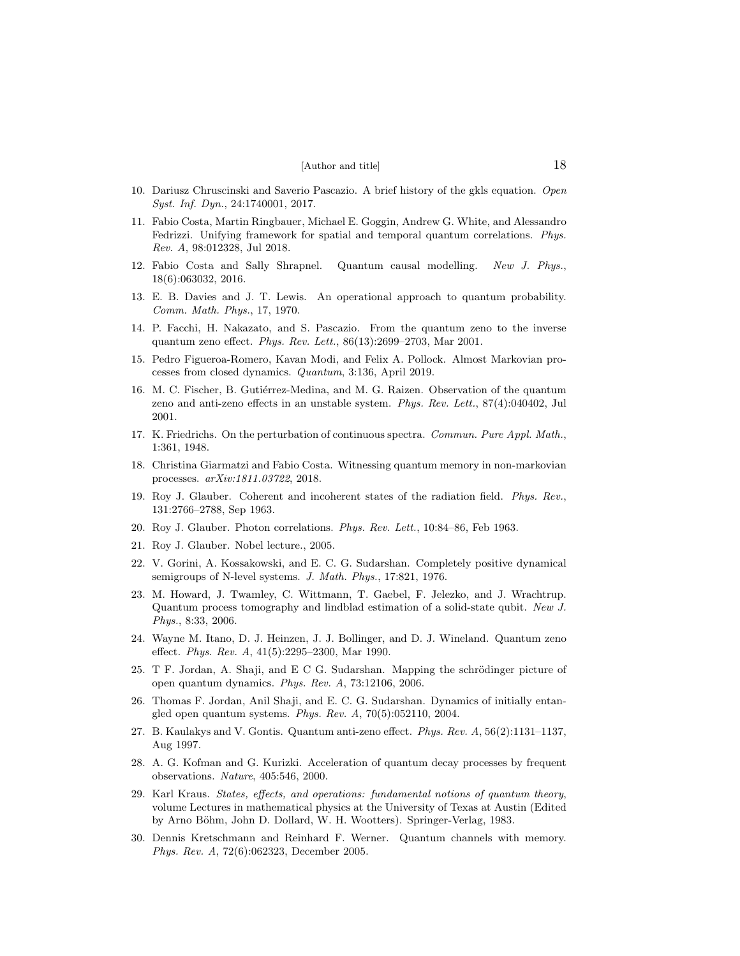- <span id="page-17-12"></span>10. Dariusz Chruscinski and Saverio Pascazio. A brief history of the gkls equation. Open Syst. Inf. Dyn., 24:1740001, 2017.
- <span id="page-17-19"></span>11. Fabio Costa, Martin Ringbauer, Michael E. Goggin, Andrew G. White, and Alessandro Fedrizzi. Unifying framework for spatial and temporal quantum correlations. Phys. Rev. A, 98:012328, Jul 2018.
- <span id="page-17-16"></span>12. Fabio Costa and Sally Shrapnel. Quantum causal modelling. New J. Phys., 18(6):063032, 2016.
- <span id="page-17-9"></span>13. E. B. Davies and J. T. Lewis. An operational approach to quantum probability. Comm. Math. Phys., 17, 1970.
- <span id="page-17-2"></span>14. P. Facchi, H. Nakazato, and S. Pascazio. From the quantum zeno to the inverse quantum zeno effect. Phys. Rev. Lett., 86(13):2699–2703, Mar 2001.
- <span id="page-17-20"></span>15. Pedro Figueroa-Romero, Kavan Modi, and Felix A. Pollock. Almost Markovian processes from closed dynamics. Quantum, 3:136, April 2019.
- <span id="page-17-0"></span>16. M. C. Fischer, B. Gutiérrez-Medina, and M. G. Raizen. Observation of the quantum zeno and anti-zeno effects in an unstable system. Phys. Rev. Lett., 87(4):040402, Jul 2001.
- <span id="page-17-5"></span>17. K. Friedrichs. On the perturbation of continuous spectra. Commun. Pure Appl. Math., 1:361, 1948.
- <span id="page-17-18"></span>18. Christina Giarmatzi and Fabio Costa. Witnessing quantum memory in non-markovian processes. arXiv:1811.03722, 2018.
- <span id="page-17-7"></span>19. Roy J. Glauber. Coherent and incoherent states of the radiation field. Phys. Rev., 131:2766–2788, Sep 1963.
- <span id="page-17-6"></span>20. Roy J. Glauber. Photon correlations. Phys. Rev. Lett., 10:84–86, Feb 1963.
- <span id="page-17-8"></span>21. Roy J. Glauber. Nobel lecture., 2005.
- <span id="page-17-11"></span>22. V. Gorini, A. Kossakowski, and E. C. G. Sudarshan. Completely positive dynamical semigroups of N-level systems. J. Math. Phys., 17:821, 1976.
- <span id="page-17-15"></span>23. M. Howard, J. Twamley, C. Wittmann, T. Gaebel, F. Jelezko, and J. Wrachtrup. Quantum process tomography and lindblad estimation of a solid-state qubit. New J. Phys., 8:33, 2006.
- <span id="page-17-1"></span>24. Wayne M. Itano, D. J. Heinzen, J. J. Bollinger, and D. J. Wineland. Quantum zeno effect. Phys. Rev. A, 41(5):2295–2300, Mar 1990.
- <span id="page-17-13"></span>25. T F. Jordan, A. Shaji, and E C G. Sudarshan. Mapping the schrödinger picture of open quantum dynamics. Phys. Rev. A, 73:12106, 2006.
- <span id="page-17-14"></span>26. Thomas F. Jordan, Anil Shaji, and E. C. G. Sudarshan. Dynamics of initially entangled open quantum systems. Phys. Rev.  $A$ , 70(5):052110, 2004.
- <span id="page-17-3"></span>27. B. Kaulakys and V. Gontis. Quantum anti-zeno effect. Phys. Rev. A, 56(2):1131–1137, Aug 1997.
- <span id="page-17-4"></span>28. A. G. Kofman and G. Kurizki. Acceleration of quantum decay processes by frequent observations. Nature, 405:546, 2000.
- <span id="page-17-10"></span>29. Karl Kraus. States, effects, and operations: fundamental notions of quantum theory, volume Lectures in mathematical physics at the University of Texas at Austin (Edited by Arno Böhm, John D. Dollard, W. H. Wootters). Springer-Verlag, 1983.
- <span id="page-17-17"></span>30. Dennis Kretschmann and Reinhard F. Werner. Quantum channels with memory. Phys. Rev. A, 72(6):062323, December 2005.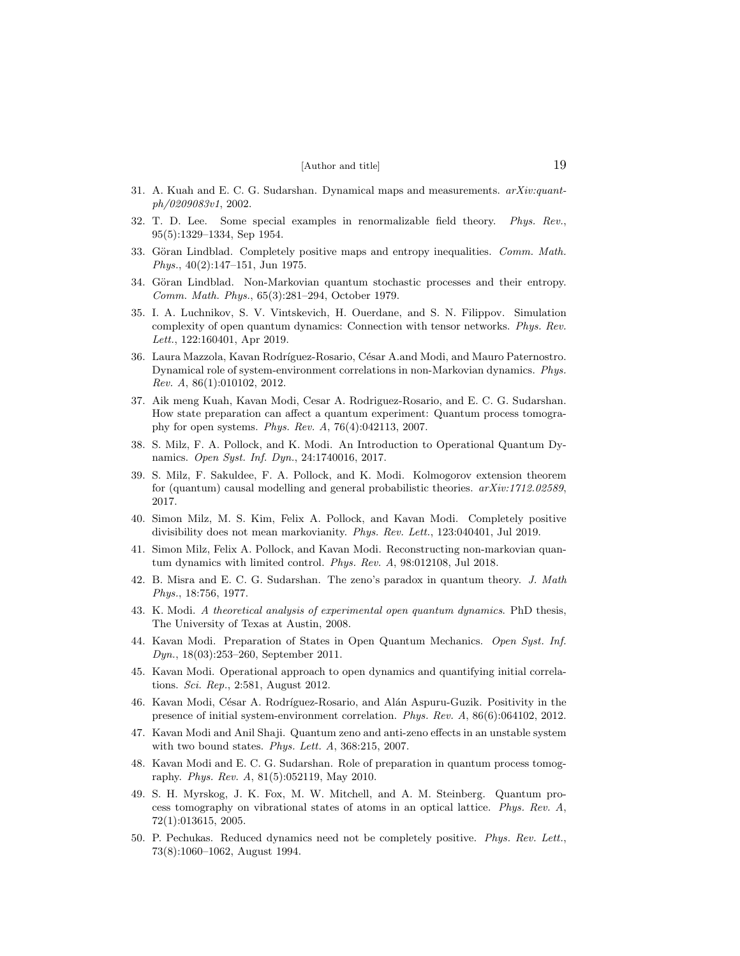- <span id="page-18-9"></span>31. A. Kuah and E. C. G. Sudarshan. Dynamical maps and measurements.  $arXiv:quant$ ph/0209083v1, 2002.
- <span id="page-18-2"></span>32. T. D. Lee. Some special examples in renormalizable field theory. Phys. Rev., 95(5):1329–1334, Sep 1954.
- <span id="page-18-3"></span>33. Göran Lindblad. Completely positive maps and entropy inequalities. Comm. Math. Phys., 40(2):147–151, Jun 1975.
- <span id="page-18-14"></span>34. Göran Lindblad. Non-Markovian quantum stochastic processes and their entropy. Comm. Math. Phys., 65(3):281–294, October 1979.
- <span id="page-18-16"></span>35. I. A. Luchnikov, S. V. Vintskevich, H. Ouerdane, and S. N. Filippov. Simulation complexity of open quantum dynamics: Connection with tensor networks. Phys. Rev. Lett., 122:160401, Apr 2019.
- <span id="page-18-4"></span>36. Laura Mazzola, Kavan Rodríguez-Rosario, César A.and Modi, and Mauro Paternostro. Dynamical role of system-environment correlations in non-Markovian dynamics. Phys. Rev. A, 86(1):010102, 2012.
- <span id="page-18-11"></span>37. Aik meng Kuah, Kavan Modi, Cesar A. Rodriguez-Rosario, and E. C. G. Sudarshan. How state preparation can affect a quantum experiment: Quantum process tomography for open systems. Phys. Rev. A, 76(4):042113, 2007.
- <span id="page-18-15"></span>38. S. Milz, F. A. Pollock, and K. Modi. An Introduction to Operational Quantum Dynamics. Open Syst. Inf. Dyn., 24:1740016, 2017.
- <span id="page-18-17"></span>39. S. Milz, F. Sakuldee, F. A. Pollock, and K. Modi. Kolmogorov extension theorem for (quantum) causal modelling and general probabilistic theories. arXiv:1712.02589, 2017.
- <span id="page-18-19"></span>40. Simon Milz, M. S. Kim, Felix A. Pollock, and Kavan Modi. Completely positive divisibility does not mean markovianity. Phys. Rev. Lett., 123:040401, Jul 2019.
- <span id="page-18-18"></span>41. Simon Milz, Felix A. Pollock, and Kavan Modi. Reconstructing non-markovian quantum dynamics with limited control. Phys. Rev. A, 98:012108, Jul 2018.
- <span id="page-18-0"></span>42. B. Misra and E. C. G. Sudarshan. The zeno's paradox in quantum theory. J. Math Phys., 18:756, 1977.
- <span id="page-18-12"></span>43. K. Modi. A theoretical analysis of experimental open quantum dynamics. PhD thesis, The University of Texas at Austin, 2008.
- <span id="page-18-8"></span>44. Kavan Modi. Preparation of States in Open Quantum Mechanics. Open Syst. Inf. Dyn., 18(03):253–260, September 2011.
- <span id="page-18-13"></span>45. Kavan Modi. Operational approach to open dynamics and quantifying initial correlations. Sci. Rep., 2:581, August 2012.
- <span id="page-18-6"></span>46. Kavan Modi, César A. Rodríguez-Rosario, and Alán Aspuru-Guzik. Positivity in the presence of initial system-environment correlation. Phys. Rev. A, 86(6):064102, 2012.
- <span id="page-18-1"></span>47. Kavan Modi and Anil Shaji. Quantum zeno and anti-zeno effects in an unstable system with two bound states. Phys. Lett. A, 368:215, 2007.
- <span id="page-18-10"></span>48. Kavan Modi and E. C. G. Sudarshan. Role of preparation in quantum process tomography. Phys. Rev. A, 81(5):052119, May 2010.
- <span id="page-18-7"></span>49. S. H. Myrskog, J. K. Fox, M. W. Mitchell, and A. M. Steinberg. Quantum process tomography on vibrational states of atoms in an optical lattice. Phys. Rev. A, 72(1):013615, 2005.
- <span id="page-18-5"></span>50. P. Pechukas. Reduced dynamics need not be completely positive. Phys. Rev. Lett., 73(8):1060–1062, August 1994.